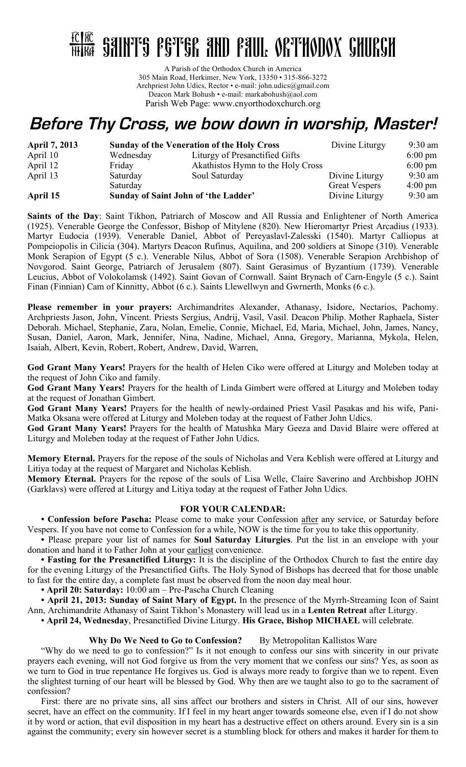

A Parish of the Orthodox Church in America 305 Main Road, Herkimer, New York, 13350 • 315-866-3272 Archpriest John Udics, Rector • e-mail: john.udics@gmail.com Deacon Mark Bohush • e-mail: markabohush@aol.com Parish Web Page: www.cnyorthodoxchurch.org

## **Before Thy Cross, we bow down in worship, Master!**

| <b>April 7, 2013</b> | <b>Sunday of the Veneration of the Holy Cross</b> |                                   | Divine Liturgy       | $9:30$ am         |
|----------------------|---------------------------------------------------|-----------------------------------|----------------------|-------------------|
| April 10             | Wednesday                                         | Liturgy of Presanctified Gifts    |                      | $6:00 \text{ pm}$ |
| April 12             | Friday                                            | Akathistos Hymn to the Holy Cross |                      | $6:00 \text{ pm}$ |
| April 13             | Saturday                                          | Soul Saturday                     | Divine Liturgy       | $9:30$ am         |
|                      | Saturday                                          |                                   | <b>Great Vespers</b> | $4:00 \text{ pm}$ |
| April 15             | Sunday of Saint John of 'the Ladder'              |                                   | Divine Liturgy       | $9:30$ am         |

**Saints of the Day**: Saint Tikhon, Patriarch of Moscow and All Russia and Enlightener of North America (1925). Venerable George the Confessor, Bishop of Mitylene (820). New Hieromartyr Priest Arcadius (1933). Martyr Eudocia (1939). Venerable Daniel, Abbot of Pereyaslavl-Zalesski (1540). Martyr Calliopus at Pompeiopolis in Cilicia (304). Martyrs Deacon Rufinus, Aquilina, and 200 soldiers at Sinope (310). Venerable Monk Serapion of Egypt (5 c.). Venerable Nilus, Abbot of Sora (1508). Venerable Serapion Archbishop of Novgorod. Saint George, Patriarch of Jerusalem (807). Saint Gerasimus of Byzantium (1739). Venerable Leucius, Abbot of Volokolamsk (1492). Saint Govan of Cornwall. Saint Brynach of Carn-Engyle (5 c.). Saint Finan (Finnian) Cam of Kinnitty, Abbot (6 c.). Saints Llewellwyn and Gwrnerth, Monks (6 c.).

**Please remember in your prayers:** Archimandrites Alexander, Athanasy, Isidore, Nectarios, Pachomy. Archpriests Jason, John, Vincent. Priests Sergius, Andrij, Vasil, Vasil. Deacon Philip. Mother Raphaela, Sister Deborah. Michael, Stephanie, Zara, Nolan, Emelie, Connie, Michael, Ed, Maria, Michael, John, James, Nancy, Susan, Daniel, Aaron, Mark, Jennifer, Nina, Nadine, Michael, Anna, Gregory, Marianna, Mykola, Helen, Isaiah, Albert, Kevin, Robert, Robert, Andrew, David, Warren,

**God Grant Many Years!** Prayers for the health of Helen Ciko were offered at Liturgy and Moleben today at the request of John Ciko and family.

**God Grant Many Years!** Prayers for the health of Linda Gimbert were offered at Liturgy and Moleben today at the request of Jonathan Gimbert.

**God Grant Many Years!** Prayers for the health of newly-ordained Priest Vasil Pasakas and his wife, Pani-Matka Oksana were offered at Liturgy and Moleben today at the request of Father John Udics.

**God Grant Many Years!** Prayers for the health of Matushka Mary Geeza and David Blaire were offered at Liturgy and Moleben today at the request of Father John Udics.

**Memory Eternal.** Prayers for the repose of the souls of Nicholas and Vera Keblish were offered at Liturgy and Litiya today at the request of Margaret and Nicholas Keblish.

**Memory Eternal.** Prayers for the repose of the souls of Lisa Welle, Claire Saverino and Archbishop JOHN (Garklavs) were offered at Liturgy and Litiya today at the request of Father John Udics.

## **FOR YOUR CALENDAR:**

**• Confession before Pascha:** Please come to make your Confession after any service, or Saturday before Vespers. If you have not come to Confession for a while, NOW is the time for you to take this opportunity.

**•** Please prepare your list of names for **Soul Saturday Liturgies**. Put the list in an envelope with your donation and hand it to Father John at your earliest convenience.

**• Fasting for the Presanctified Liturgy:** It is the discipline of the Orthodox Church to fast the entire day for the evening Liturgy of the Presanctified Gifts. The Holy Synod of Bishops has decreed that for those unable to fast for the entire day, a complete fast must be observed from the noon day meal hour.

**• April 20: Saturday:** 10:00 am – Pre-Pascha Church Cleaning

**• April 21, 2013: Sunday of Saint Mary of Egypt.** In the presence of the Myrrh-Streaming Icon of Saint Ann, Archimandrite Athanasy of Saint Tikhon's Monastery will lead us in a **Lenten Retreat** after Liturgy.

**• April 24, Wednesday**, Presanctified Divine Liturgy. **His Grace, Bishop MICHAEL** will celebrate.

## **Why Do We Need to Go to Confession?** By Metropolitan Kallistos Ware

"Why do we need to go to confession?" Is it not enough to confess our sins with sincerity in our private prayers each evening, will not God forgive us from the very moment that we confess our sins? Yes, as soon as we turn to God in true repentance He forgives us. God is always more ready to forgive than we to repent. Even the slightest turning of our heart will be blessed by God. Why then are we taught also to go to the sacrament of confession?

First: there are no private sins, all sins affect our brothers and sisters in Christ. All of our sins, however secret, have an effect on the community. If I feel in my heart anger towards someone else, even if I do not show it by word or action, that evil disposition in my heart has a destructive effect on others around. Every sin is a sin against the community; every sin however secret is a stumbling block for others and makes it harder for them to